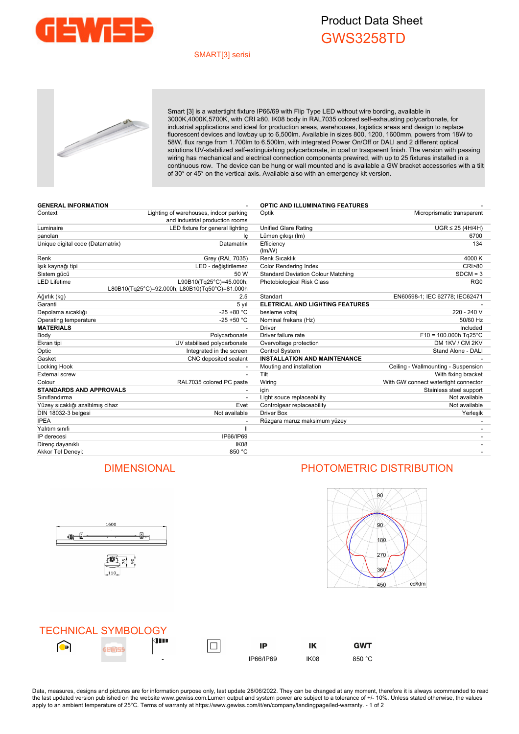

## Product Data Sheet GWS3258TD

### SMART[3] serisi



Smart [3] is a watertight fixture IP66/69 with Flip Type LED without wire bording, available in 3000K,4000K,5700K, with CRI ≥80. IK08 body in RAL7035 colored self-exhausting polycarbonate, for industrial applications and ideal for production areas, warehouses, logistics areas and design to replace fluorescent devices and lowbay up to 6,500lm. Available in sizes 800, 1200, 1600mm, powers from 18W to 58W, flux range from 1.700lm to 6.500lm, with integrated Power On/Off or DALI and 2 different optical solutions UV-stabilized self-extinguishing polycarbonate, in opal or trasparent finish. The version with passing wiring has mechanical and electrical connection components prewired, with up to 25 fixtures installed in a continuous row. The device can be hung or wall mounted and is available a GW bracket accessories with a tilt of 30° or 45° on the vertical axis. Available also with an emergency kit version.

| <b>GENERAL INFORMATION</b>       |                                                                           | <b>OPTIC AND ILLUMINATING FEATURES</b>    |                                      |
|----------------------------------|---------------------------------------------------------------------------|-------------------------------------------|--------------------------------------|
| Context                          | Lighting of warehouses, indoor parking<br>and industrial production rooms | Microprismatic transparent<br>Optik       |                                      |
| Luminaire                        | LED fixture for general lighting                                          | <b>Unified Glare Rating</b>               | $UGR \leq 25$ (4H/4H)                |
| panoları                         | lç                                                                        | Lümen çıkışı (Im)                         | 6700                                 |
| Unique digital code (Datamatrix) | Datamatrix                                                                | Efficiency<br>(lm/W)                      | 134                                  |
| Renk                             | Grey (RAL 7035)                                                           | Renk Sıcaklık                             | 4000 K                               |
| lşık kaynağı tipi                | LED - değiştirilemez                                                      | <b>Color Rendering Index</b>              | <b>CRI&gt;80</b>                     |
| Sistem qücü                      | 50 W                                                                      | <b>Standard Deviation Colour Matching</b> | $SDCM = 3$                           |
| <b>LED Lifetime</b>              | L90B10(Tg25°C)=45.000h;<br>L80B10(Tg25°C)=92.000h; L80B10(Tg50°C)=81.000h | Photobiological Risk Class                | RG <sub>0</sub>                      |
| Ağırlık (kg)                     | 2.5                                                                       | Standart                                  | EN60598-1; IEC 62778; IEC62471       |
| Garanti                          | 5 yıl                                                                     | <b>ELETRICAL AND LIGHTING FEATURES</b>    |                                      |
| Depolama sıcaklığı               | $-25 + 80 °C$                                                             | besleme voltaj                            | 220 - 240 V                          |
| Operating temperature            | $-25 + 50 °C$                                                             | Nominal frekans (Hz)                      | 50/60 Hz                             |
| <b>MATERIALS</b>                 |                                                                           | <b>Driver</b>                             | Included                             |
| Body                             | Polycarbonate                                                             | Driver failure rate                       | $F10 = 100.000h$ Tg25°C              |
| Ekran tipi                       | UV stabilised polycarbonate                                               | Overvoltage protection                    | DM 1KV / CM 2KV                      |
| Optic                            | Integrated in the screen                                                  | Control System                            | Stand Alone - DALI                   |
| Gasket                           | CNC deposited sealant                                                     | <b>INSTALLATION AND MAINTENANCE</b>       |                                      |
| Locking Hook                     |                                                                           | Mouting and installation                  | Ceiling - Wallmounting - Suspension  |
| <b>External screw</b>            | $\overline{\phantom{a}}$                                                  | Tilt                                      | With fixing bracket                  |
| Colour                           | RAL7035 colored PC paste                                                  | Wiring                                    | With GW connect watertight connector |
| <b>STANDARDS AND APPROVALS</b>   |                                                                           | icin                                      | Stainless steel support              |
| Sınıflandırma                    |                                                                           | Light souce replaceability                | Not available                        |
| Yüzey sıcaklığı azaltılmış cihaz | Evet                                                                      | Controlgear replaceability                | Not available                        |
| DIN 18032-3 belgesi              | Not available                                                             | <b>Driver Box</b>                         | Yerleşik                             |
| <b>IPEA</b>                      |                                                                           | Rüzgara maruz maksimum yüzey              |                                      |
| Yalıtım sınıfı                   | $\mathbf{I}$                                                              |                                           |                                      |
| IP derecesi                      | IP66/IP69                                                                 |                                           |                                      |
| Direnç dayanıklı                 | IK <sub>08</sub>                                                          |                                           |                                      |
| Akkor Tel Denevi:                | 850 °C                                                                    |                                           |                                      |



### DIMENSIONAL PHOTOMETRIC DISTRIBUTION



|          | <b>TECHNICAL SYMBOLOGY</b> |                          |           |      |                |
|----------|----------------------------|--------------------------|-----------|------|----------------|
| <b>D</b> |                            | <b>KIII</b>              | IP        | ΙK   | GWT            |
|          |                            | $\overline{\phantom{0}}$ | IP66/IP69 | IK08 | $\circ$<br>850 |

Data, measures, designs and pictures are for information purpose only, last update 28/06/2022. They can be changed at any moment, therefore it is always ecommended to read the last updated version published on the website www.gewiss.com.Lumen output and system power are subject to a tolerance of +/- 10%. Unless stated otherwise, the values apply to an ambient temperature of 25°C. Terms of warranty at https://www.gewiss.com/it/en/company/landingpage/led-warranty. - 1 of 2